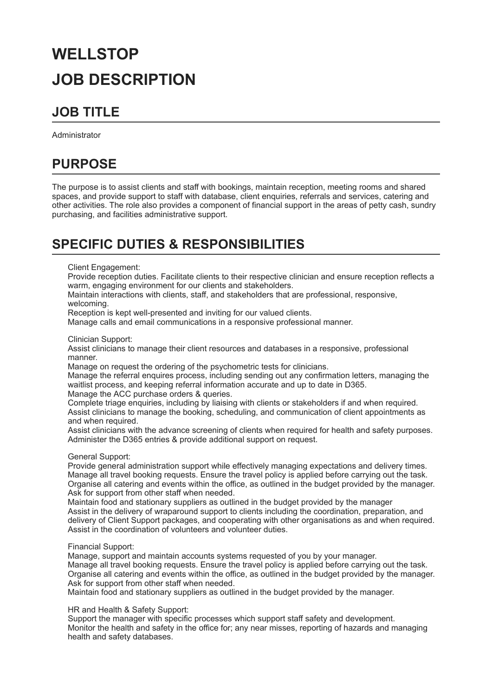# **WELLSTOP JOB DESCRIPTION**

### **JOB TITLE**

Administrator

### **PURPOSE**

The purpose is to assist clients and staff with bookings, maintain reception, meeting rooms and shared spaces, and provide support to staff with database, client enquiries, referrals and services, catering and other activities. The role also provides a component of financial support in the areas of petty cash, sundry purchasing, and facilities administrative support.

### **SPECIFIC DUTIES & RESPONSIBILITIES**

Client Engagement:

Provide reception duties. Facilitate clients to their respective clinician and ensure reception reflects a warm, engaging environment for our clients and stakeholders.

Maintain interactions with clients, staff, and stakeholders that are professional, responsive, welcoming.

Reception is kept well-presented and inviting for our valued clients.

Manage calls and email communications in a responsive professional manner.

Clinician Support:

Assist clinicians to manage their client resources and databases in a responsive, professional manner.

Manage on request the ordering of the psychometric tests for clinicians.

Manage the referral enquires process, including sending out any confirmation letters, managing the waitlist process, and keeping referral information accurate and up to date in D365. Manage the ACC purchase orders & queries.

Complete triage enquiries, including by liaising with clients or stakeholders if and when required. Assist clinicians to manage the booking, scheduling, and communication of client appointments as and when required.

Assist clinicians with the advance screening of clients when required for health and safety purposes. Administer the D365 entries & provide additional support on request.

General Support:

Provide general administration support while effectively managing expectations and delivery times. Manage all travel booking requests. Ensure the travel policy is applied before carrying out the task. Organise all catering and events within the office, as outlined in the budget provided by the manager. Ask for support from other staff when needed.

Maintain food and stationary suppliers as outlined in the budget provided by the manager Assist in the delivery of wraparound support to clients including the coordination, preparation, and delivery of Client Support packages, and cooperating with other organisations as and when required. Assist in the coordination of volunteers and volunteer duties.

#### Financial Support:

Manage, support and maintain accounts systems requested of you by your manager. Manage all travel booking requests. Ensure the travel policy is applied before carrying out the task. Organise all catering and events within the office, as outlined in the budget provided by the manager. Ask for support from other staff when needed.

Maintain food and stationary suppliers as outlined in the budget provided by the manager.

HR and Health & Safety Support:

Support the manager with specific processes which support staff safety and development. Monitor the health and safety in the office for; any near misses, reporting of hazards and managing health and safety databases.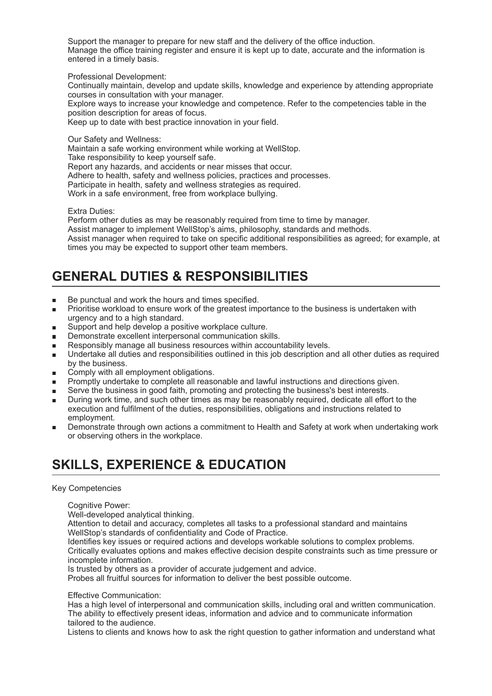Support the manager to prepare for new staff and the delivery of the office induction. Manage the office training register and ensure it is kept up to date, accurate and the information is entered in a timely basis.

Professional Development:

Continually maintain, develop and update skills, knowledge and experience by attending appropriate courses in consultation with your manager.

Explore ways to increase your knowledge and competence. Refer to the competencies table in the position description for areas of focus.

Keep up to date with best practice innovation in your field.

Our Safety and Wellness:

Maintain a safe working environment while working at WellStop. Take responsibility to keep yourself safe. Report any hazards, and accidents or near misses that occur. Adhere to health, safety and wellness policies, practices and processes. Participate in health, safety and wellness strategies as required. Work in a safe environment, free from workplace bullying.

Extra Duties:

Perform other duties as may be reasonably required from time to time by manager. Assist manager to implement WellStop's aims, philosophy, standards and methods. Assist manager when required to take on specific additional responsibilities as agreed; for example, at times you may be expected to support other team members.

## **GENERAL DUTIES & RESPONSIBILITIES**

- Be punctual and work the hours and times specified. ٠
- Prioritise workload to ensure work of the greatest importance to the business is undertaken with  $\blacksquare$ urgency and to a high standard.
- Support and help develop a positive workplace culture. ×
- Demonstrate excellent interpersonal communication skills.
- Responsibly manage all business resources within accountability levels.
- Undertake all duties and responsibilities outlined in this job description and all other duties as required by the business.
- Comply with all employment obligations.  $\blacksquare$
- Promptly undertake to complete all reasonable and lawful instructions and directions given.  $\blacksquare$
- Serve the business in good faith, promoting and protecting the business's best interests.  $\blacksquare$
- During work time, and such other times as may be reasonably required, dedicate all effort to the  $\blacksquare$ execution and fulfilment of the duties, responsibilities, obligations and instructions related to employment.
- Demonstrate through own actions a commitment to Health and Safety at work when undertaking work or observing others in the workplace.

## **SKILLS, EXPERIENCE & EDUCATION**

### Key Competencies

Cognitive Power:

Well-developed analytical thinking.

Attention to detail and accuracy, completes all tasks to a professional standard and maintains WellStop's standards of confidentiality and Code of Practice.

Identifies key issues or required actions and develops workable solutions to complex problems. Critically evaluates options and makes effective decision despite constraints such as time pressure or incomplete information.

Is trusted by others as a provider of accurate judgement and advice.

Probes all fruitful sources for information to deliver the best possible outcome.

Effective Communication:

Has a high level of interpersonal and communication skills, including oral and written communication. The ability to effectively present ideas, information and advice and to communicate information tailored to the audience.

Listens to clients and knows how to ask the right question to gather information and understand what